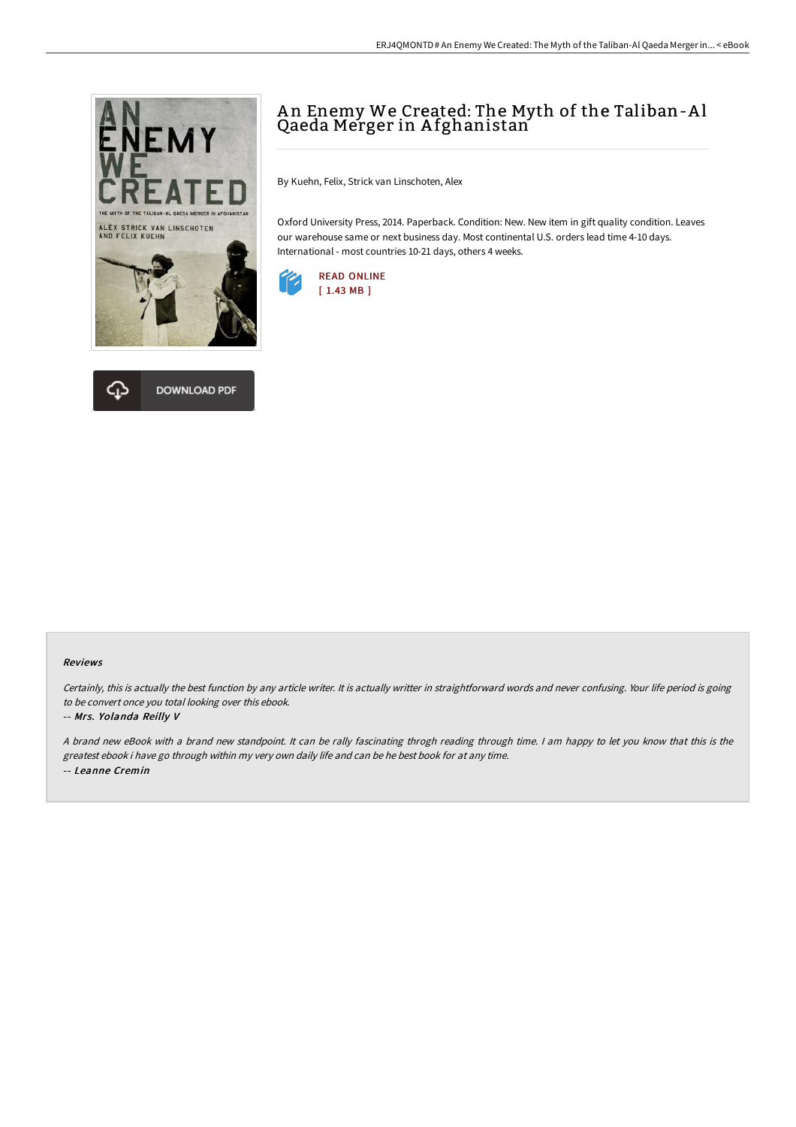



# A n Enemy We Created: The Myth of the Taliban-A l Qaeda Merger in A fghanistan

By Kuehn, Felix, Strick van Linschoten, Alex

Oxford University Press, 2014. Paperback. Condition: New. New item in gift quality condition. Leaves our warehouse same or next business day. Most continental U.S. orders lead time 4-10 days. International - most countries 10-21 days, others 4 weeks.



### Reviews

Certainly, this is actually the best function by any article writer. It is actually writter in straightforward words and never confusing. Your life period is going to be convert once you total looking over this ebook.

#### -- Mrs. Yolanda Reilly V

A brand new eBook with a brand new standpoint. It can be rally fascinating throgh reading through time. I am happy to let you know that this is the greatest ebook i have go through within my very own daily life and can be he best book for at any time. -- Leanne Cremin